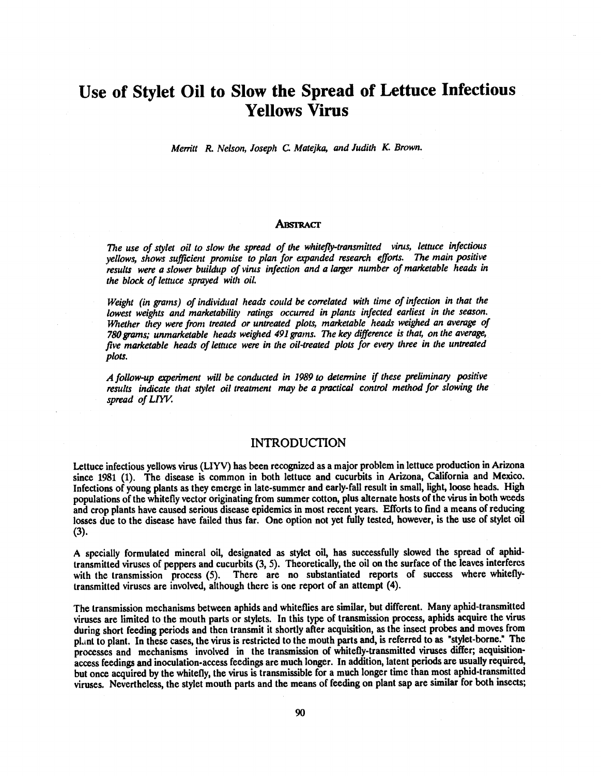# Use of Stylet Oil to Slow the Spread of Lettuce Infectious Yellows Virus

Merritt R. Nelson, Joseph C. Matejka, and Judith K. Brown.

#### **ABSTRACT**

The use of stylet oil to slow the spread of the whitefly-transmitted virus, lettuce infectious yellows, shows sufficient promise to plan for expanded research efforts. The main positive results were a slower buildup of virus infection and a larger number of marketable heads in the block of lettuce sprayed with oil.

Weight (in grams) of individual heads could be correlated with time of infection in that the lowest weights and marketability ratings occurred in plants infected earliest in the season. Whether they were front treated or untreated plots, marketable heads weighed an average of 784 grams; unmarketable heads weighed 491 grams. The key difference is that, on the average, five marketable heads of lettuce were in the oil- treated plots for every three in the untreated plots.

A follow -up experiment will be conducted in 1989 to determine if these preliminary positive results indicate that stylet oil treatment may be a practical control method for slowing the spread of LIYV.

#### INTRODUCTION

Lettuce infectious yellows virus (LIYV) has been recognized as a major problem in lettuce production in Arizona since 1981 (1). The disease is common in both lettuce and cucurbits in Arizona, California and Mexico. Infections of young plants as they emerge in late-summer and early-fall result in small, light, loose heads. High populations of the whitefly vector originating from summer cotton, plus alternate hosts of the virus in both weeds and crop plants have caused serious disease epidemics in most recent years. Efforts to find a means of reducing losses due to the disease have failed thus far. One option not yet fully tested, however, is the use of stylet oil (3).

A specially formulated mineral oil, designated as stylet oil, has successfully slowed the spread of aphidtransmitted viruses of peppers and cucurbits (3, 5). Theoretically, the oil on the surface of the leaves interferes with the transmission process (5). There are no substantiated reports of success where whiteflytransmitted viruses are involved, although there is one report of an attempt (4).

The transmission mechanisms between aphids and whiteflies are similar, but different. Many aphid- transmitted viruses are limited to the mouth parts or stylets. In this type of transmission process, aphids acquire the virus during short feeding periods and then transmit it shortly after acquisition, as the insect probes and moves from plant to plant. In these cases, the virus is restricted to the mouth parts and, is referred to as "stylet-borne." The processes and mechanisms involved in the transmission of whitefly -transmitted viruses differ; acquisition access feedings and inoculation-access feedings are much longer. In addition, latent periods are usually required, but once acquired by the whitefly, the virus is transmissible for a much longer time than most aphid-transmitted viruses. Nevertheless, the stylet mouth parts and the means of feeding on plant sap are similar for both insects;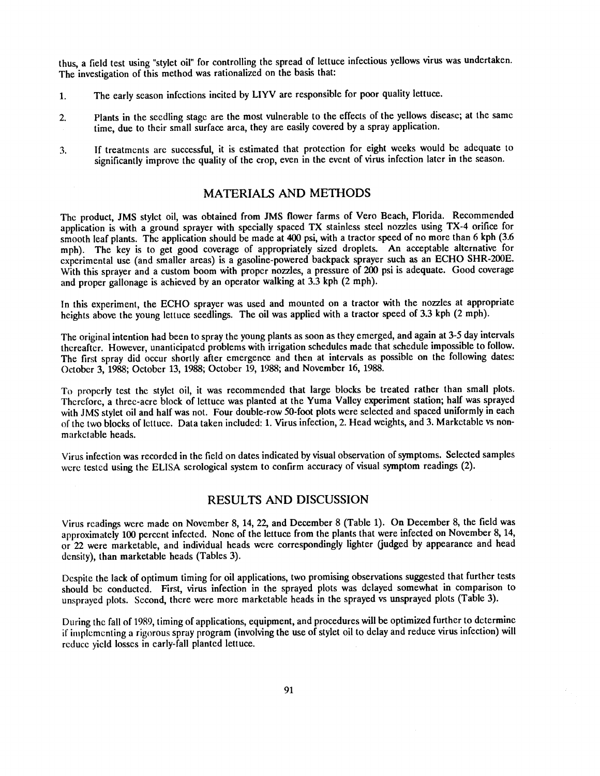thus, a field test using "stylet oil" for controlling the spread of lettuce infectious yellows virus was undertaken. The investigation of this method was rationalized on the basis that:

- 1. The early season infections incited by LIYV are responsible for poor quality lettuce.
- 2. Plants in the seedling stage are the most vulnerable to the effects of the yellows disease; at the same time, due to their small surface area, they are easily covered by a spray application.
- 3. If treatments are successful, it is estimated that protection for eight weeks would be adequate to significantly improve the quality of the crop, even in the event of virus infection later in the season.

### MATERIALS AND METHODS

The product, JMS stylet oil, was obtained from JMS flower farms of Vero Beach, Florida. Recommended application is with a ground sprayer with specially spaced TX stainless steel nozzles using TX -4 orifice for smooth leaf plants. The application should be made at 400 psi, with a tractor speed of no more than 6 kph (3.6 mph). The key is to get good coverage of appropriately sized droplets. An acceptable alternative for experimental use (and smaller areas) is a gasoline -powered backpack sprayer such as an ECHO SHR -200E. With this sprayer and a custom boom with proper nozzles, a pressure of 200 psi is adequate. Good coverage and proper gallonage is achieved by an operator walking at 3.3 kph (2 mph).

In this experiment, the ECHO sprayer was used and mounted on a tractor with the nozzles at appropriate heights above the young lettuce seedlings. The oil was applied with a tractor speed of 3.3 kph (2 mph).

The original intention had been to spray the young plants as soon as they emerged, and again at 3 -5 day intervals thereafter. However, unanticipated problems with irrigation schedules made that schedule impossible to follow. The first spray did occur shortly after emergence and then at intervals as possible on the following dates: October 3, 1988; October 13, 1988; October 19, 1988; and November 16, 1988.

To properly test the stylet oil, it was recommended that large blocks be treated rather than small plots. Therefore, a three -acre block of lettuce was planted at the Yuma Valley experiment station; half was sprayed with JMS stylet oil and half was not. Four double-row 50-foot plots were selected and spaced uniformly in each of the two blocks of lettuce. Data taken included: 1. Virus infection, 2. Head weights, and 3. Marketable vs nonmarketable heads.

Virus infection was recorded in the field on dates indicated by visual observation of symptoms. Selected samples were tested using the ELISA serological system to confirm accuracy of visual symptom readings (2).

### RESULTS AND DISCUSSION

Virus readings were made on November 8, 14, 22, and December 8 (Table 1). On December 8, the field was approximately 100 percent infected. None of the lettuce from the plants that were infected on November 8, 14, or 22 were marketable, and individual heads were correspondingly lighter (judged by appearance and head density), than marketable heads (Tables 3).

Despite the lack of optimum timing for oil applications, two promising observations suggested that further tests should be conducted. First, virus infection in the sprayed plots was delayed somewhat in comparison to unsprayed plots. Second, there were more marketable heads in the sprayed vs unsprayed plots (Table 3).

During the fall of 1989, timing of applications, equipment, and procedures will be optimized further to determine if implementing a rigorous spray program (involving the use of stylet oil to delay and reduce virus infection) will reduce yield losses in early -fall planted lettuce.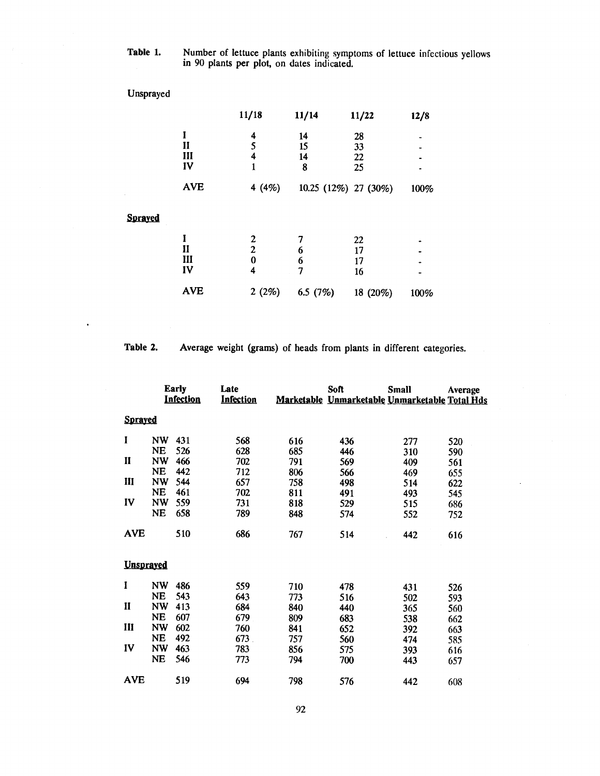Table 1. Number of lettuce plants exhibiting symptoms of lettuce infectious yellows in 90 plants per plot, on dates indicated.

| Unsprayed      |                                |                                      |                     |                      |      |
|----------------|--------------------------------|--------------------------------------|---------------------|----------------------|------|
|                |                                | 11/18                                | 11/14               | 11/22                | 12/8 |
|                | I<br>$\mathbf{I}$<br>III<br>IV | 4<br>5<br>4<br>1                     | 14<br>15<br>14<br>8 | 28<br>33<br>22<br>25 |      |
|                | <b>AVE</b>                     | 4 $(4%)$                             |                     | 10.25 (12%) 27 (30%) | 100% |
| <b>Sprayed</b> |                                |                                      |                     |                      |      |
|                | I<br>$\mathbf{I}$<br>III<br>IV | 2<br>$\overline{c}$<br>$\bf{0}$<br>4 | 6<br>6<br>7         | 22<br>17<br>17<br>16 |      |
|                | <b>AVE</b>                     | 2(2%)                                | 6.5 $(7%)$          | 18 (20%)             | 100% |

 $\ddot{\phantom{0}}$ 

Table 2. Average weight (grams) of heads from plants in different categories.

|                  |           | <b>Early</b><br>Infection | Late<br><b>Infection</b> |     | Soft | <b>Small</b><br>Marketable Unmarketable Unmarketable Total Hds | Average |
|------------------|-----------|---------------------------|--------------------------|-----|------|----------------------------------------------------------------|---------|
| <b>Sprayed</b>   |           |                           |                          |     |      |                                                                |         |
| $\mathbf I$      | <b>NW</b> | 431                       | 568                      | 616 | 436  | 277                                                            | 520     |
|                  | <b>NE</b> | 526                       | 628                      | 685 | 446  | 310                                                            | 590     |
| П                | <b>NW</b> | 466                       | 702                      | 791 | 569  | 409                                                            | 561     |
|                  | <b>NE</b> | 442                       | 712                      | 806 | 566  | 469                                                            | 655     |
| Ш                | <b>NW</b> | 544                       | 657                      | 758 | 498  | 514                                                            | 622     |
|                  | <b>NE</b> | 461                       | 702                      | 811 | 491  | 493                                                            | 545     |
| IV               | <b>NW</b> | 559                       | 731                      | 818 | 529  | 515                                                            | 686     |
|                  | <b>NE</b> | 658                       | 789                      | 848 | 574  | 552                                                            | 752     |
| <b>AVE</b>       |           | 510                       | 686                      | 767 | 514  | 442                                                            | 616     |
| <b>Unspraved</b> |           |                           |                          |     |      |                                                                |         |
| I                | <b>NW</b> | 486                       | 559                      | 710 | 478  | 431                                                            | 526     |
|                  | <b>NE</b> | 543                       | 643                      | 773 | 516  | 502                                                            | 593     |
| $\mathbf{I}$     | <b>NW</b> | 413                       | 684                      | 840 | 440  | 365                                                            | 560     |
|                  | <b>NE</b> | 607                       | 679                      | 809 | 683  | 538                                                            | 662     |
| $\mathbf{I}$     | <b>NW</b> | 602                       | 760                      | 841 | 652  | 392                                                            | 663     |
|                  | <b>NE</b> | 492                       | 673.                     | 757 | 560  | 474                                                            | 585     |
| IV               | <b>NW</b> | 463                       | 783                      | 856 | 575  | 393                                                            | 616     |
|                  | <b>NE</b> | 546                       | 773                      | 794 | 700  | 443                                                            | 657     |
| <b>AVE</b>       |           | 519                       | 694                      | 798 | 576  | 442                                                            | 608     |